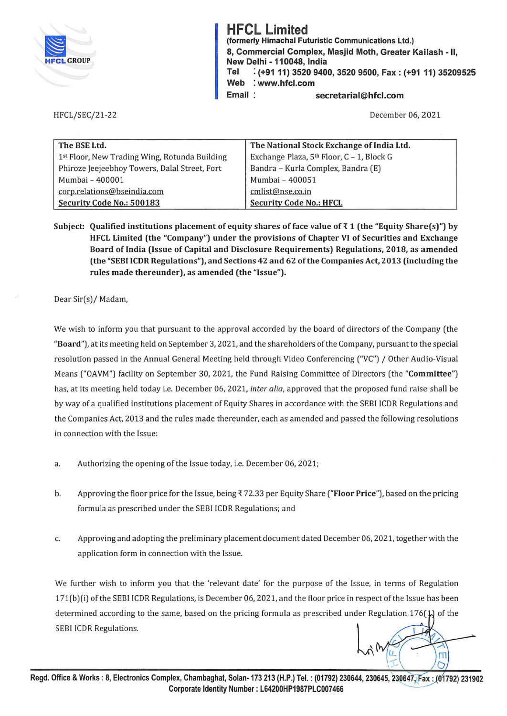

HFCL/SEC/21-22

**HFCL Limited**  (formerly Himachal Futuristic Communications Ltd.) 8, Commercial Complex, Masjid Moth, Greater Kailash - II, New Delhi - 110048, India **Tel** : **(+9111) 3520 9400, 3520 9500, Fax: (+91 11) 35209525 Web** : **www.hfcl.com Email secretarial@hfcl.com** 

December 06, 2021

| The BSE Ltd.                                  | The National Stock Exchange of India Ltd.             |
|-----------------------------------------------|-------------------------------------------------------|
| 1st Floor, New Trading Wing, Rotunda Building | Exchange Plaza, 5 <sup>th</sup> Floor, C - 1, Block G |
| Phiroze Jeejeebhoy Towers, Dalal Street, Fort | Bandra - Kurla Complex, Bandra (E)                    |
| Mumbai - 400001                               | Mumbai - 400051                                       |
| corp.relations@bseindia.com                   | cmlist@nse.co.in                                      |
| Security Code No.: 500183                     | <b>Security Code No.: HFCL</b>                        |

Subject: Qualified institutions placement of equity shares of face value of  $\bar{\tau}$  1 (the "Equity Share(s)") by **HFCL Limited (the "Company") under the provisions of Chapter VI of Securities and Exchange Board of India (Issue of Capital and Disclosure Requirements) Regulations, 2018, as amended (the "SEBI ICDR Regulations"), and Sections 42 and 62 of the Companies Act, 2013 (including the rules made thereunder), as amended (the "Issue").** 

Dear Sir(s)/ Madam,

We wish to inform you that pursuant to the approval accorded by the board of directors of the Company (the **"Board"),** at its meeting held on September 3, 2021, and the shareholders of the Company, pursuant to the special resolution passed in the Annual General Meeting held through Video Conferencing ("VC") / Other Audio-Visual Means ("OAVM") facility on September 30, 2021, the Fund Raising Committee of Directors (the **"Committee")**  has, at its meeting held today i.e. December 06, 2021, *inter alia,* approved that the proposed fund raise shall be by way of a qualified institutions placement of Equity Shares in accordance with the SEBI ICDR Regulations and the Companies Act, 2013 and the rules made thereunder, each as amended and passed the following resolutions in connection with the Issue:

- a. Authorizing the opening of the Issue today, i.e. December 06, 2021;
- b. Approving the floor price for the Issue, being'{ 72.33 per Equity Share **("Floor Price"),** based on the pricing formula as prescribed under the SEBI ICDR Regulations; and
- c. Approving and adopting the preliminary placement document dated December 06, 2021, together with the application form in connection with the Issue.

We further wish to inform you that the 'relevant date' for the purpose of the Issue, in terms of Regulation 171(b)(i) of the SEBI ICDR Regulations, is December 06, 2021, and the floor price in respect of the Issue has been determined according to the same, based on the pricing formula as prescribed under Regulation 176( $\downarrow$ ) of the SEBI ICDR Regulations.

 $\overline{\mathsf{m}}$